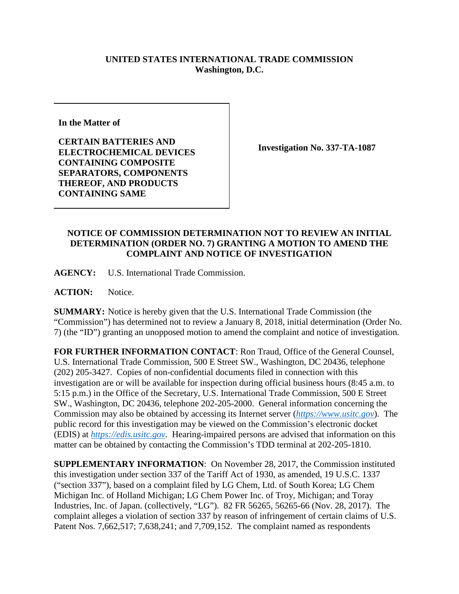## **UNITED STATES INTERNATIONAL TRADE COMMISSION Washington, D.C.**

**In the Matter of**

**CERTAIN BATTERIES AND ELECTROCHEMICAL DEVICES CONTAINING COMPOSITE SEPARATORS, COMPONENTS THEREOF, AND PRODUCTS CONTAINING SAME**

**Investigation No. 337-TA-1087**

## **NOTICE OF COMMISSION DETERMINATION NOT TO REVIEW AN INITIAL DETERMINATION (ORDER NO. 7) GRANTING A MOTION TO AMEND THE COMPLAINT AND NOTICE OF INVESTIGATION**

**AGENCY:** U.S. International Trade Commission.

**ACTION:** Notice.

**SUMMARY:** Notice is hereby given that the U.S. International Trade Commission (the "Commission") has determined not to review a January 8, 2018, initial determination (Order No. 7) (the "ID") granting an unopposed motion to amend the complaint and notice of investigation.

**FOR FURTHER INFORMATION CONTACT**: Ron Traud, Office of the General Counsel, U.S. International Trade Commission, 500 E Street SW., Washington, DC 20436, telephone (202) 205-3427. Copies of non-confidential documents filed in connection with this investigation are or will be available for inspection during official business hours (8:45 a.m. to 5:15 p.m.) in the Office of the Secretary, U.S. International Trade Commission, 500 E Street SW., Washington, DC 20436, telephone 202-205-2000. General information concerning the Commission may also be obtained by accessing its Internet server (*[https://www.usitc.gov](https://www.usitc.gov/)*). The public record for this investigation may be viewed on the Commission's electronic docket (EDIS) at *[https://edis.usitc.gov](https://edis.usitc.gov/)*. Hearing-impaired persons are advised that information on this matter can be obtained by contacting the Commission's TDD terminal at 202-205-1810.

**SUPPLEMENTARY INFORMATION**: On November 28, 2017, the Commission instituted this investigation under section 337 of the Tariff Act of 1930, as amended, 19 U.S.C. 1337 ("section 337"), based on a complaint filed by LG Chem, Ltd. of South Korea; LG Chem Michigan Inc. of Holland Michigan; LG Chem Power Inc. of Troy, Michigan; and Toray Industries, Inc. of Japan. (collectively, "LG"). 82 FR 56265, 56265-66 (Nov. 28, 2017). The complaint alleges a violation of section 337 by reason of infringement of certain claims of U.S. Patent Nos. 7,662,517; 7,638,241; and 7,709,152. The complaint named as respondents